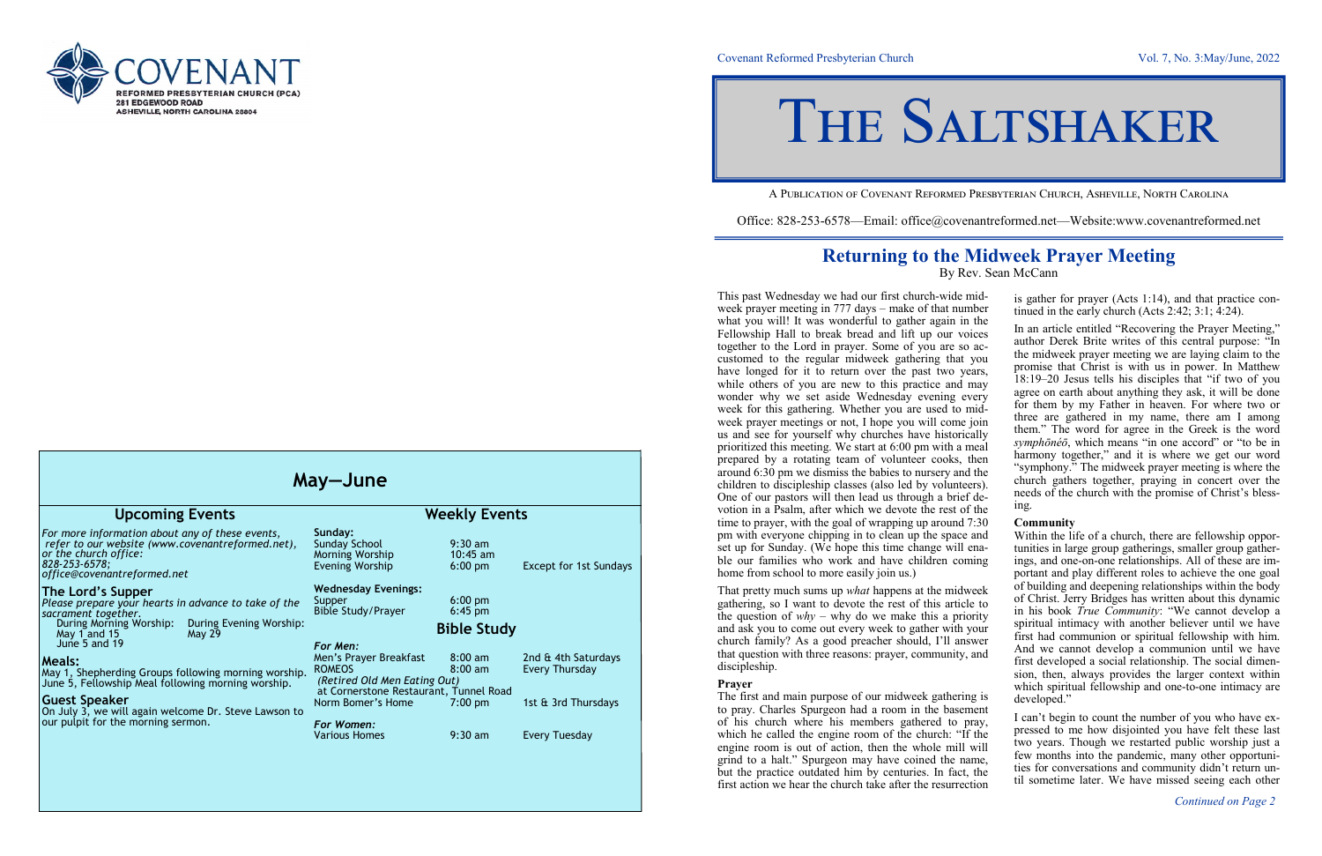Covenant Reformed Presbyterian Church Vol. 7, No. 3:May/June, 2022

A Publication of Covenant Reformed Presbyterian Church, Asheville, North Carolina

Office: 828-253-6578—Email: office@covenantreformed.net—Website:www.covenantreformed.net

## **Returning to the Midweek Prayer Meeting** By Rev. Sean McCann

This past Wednesday we had our first church-wide midweek prayer meeting in 777 days – make of that number what you will! It was wonderful to gather again in the Fellowship Hall to break bread and lift up our voices together to the Lord in prayer. Some of you are so accustomed to the regular midweek gathering that you have longed for it to return over the past two years, while others of you are new to this practice and may wonder why we set aside Wednesday evening every week for this gathering. Whether you are used to midweek prayer meetings or not, I hope you will come join us and see for yourself why churches have historically prioritized this meeting. We start at 6:00 pm with a meal prepared by a rotating team of volunteer cooks, then around 6:30 pm we dismiss the babies to nursery and the children to discipleship classes (also led by volunteers). One of our pastors will then lead us through a brief devotion in a Psalm, after which we devote the rest of the time to prayer, with the goal of wrapping up around 7:30 pm with everyone chipping in to clean up the space and set up for Sunday. (We hope this time change will enable our families who work and have children coming home from school to more easily join us.) is gather for prayer (Acts 1:14), and that practice continued in the early church (Acts 2:42; 3:1; 4:24). In an article entitled "Recovering the Prayer Meeting," author Derek Brite writes of this central purpose: "In the midweek prayer meeting we are laying claim to the promise that Christ is with us in power. In Matthew 18:19–20 Jesus tells his disciples that "if two of you agree on earth about anything they ask, it will be done for them by my Father in heaven. For where two or three are gathered in my name, there am I among them." The word for agree in the Greek is the word *symphōnéō*, which means "in one accord" or "to be in harmony together," and it is where we get our word "symphony." The midweek prayer meeting is where the church gathers together, praying in concert over the needs of the church with the promise of Christ's blessing. **Community** Within the life of a church, there are fellowship opportunities in large group gatherings, smaller group gatherings, and one-on-one relationships. All of these are im-

That pretty much sums up *what* happens at the midweek gathering, so I want to devote the rest of this article to the question of  $why - why$  do we make this a priority and ask you to come out every week to gather with your church family? As a good preacher should, I'll answer that question with three reasons: prayer, community, and discipleship. **Prayer** The first and main purpose of our midweek gathering is portant and play different roles to achieve the one goal of building and deepening relationships within the body of Christ. Jerry Bridges has written about this dynamic in his book *True Community*: "We cannot develop a spiritual intimacy with another believer until we have first had communion or spiritual fellowship with him. And we cannot develop a communion until we have first developed a social relationship. The social dimension, then, always provides the larger context within which spiritual fellowship and one-to-one intimacy are developed."

to pray. Charles Spurgeon had a room in the basement of his church where his members gathered to pray, which he called the engine room of the church: "If the engine room is out of action, then the whole mill will grind to a halt." Spurgeon may have coined the name, but the practice outdated him by centuries. In fact, the first action we hear the church take after the resurrection I can't begin to count the number of you who have expressed to me how disjointed you have felt these last two years. Though we restarted public worship just a few months into the pandemic, many other opportunities for conversations and community didn't return until sometime later. We have missed seeing each other

# THE SALTSHAKER



| May-June                                                                                                                                                                     |                                                                         |                                        |                                       |
|------------------------------------------------------------------------------------------------------------------------------------------------------------------------------|-------------------------------------------------------------------------|----------------------------------------|---------------------------------------|
| <b>Upcoming Events</b>                                                                                                                                                       | <b>Weekly Events</b>                                                    |                                        |                                       |
| For more information about any of these events,<br>refer to our website (www.covenantreformed.net),<br>or the church office:<br>828-253-6578;<br>office@covenantreformed.net | Sunday:<br>Sunday School<br>Morning Worship<br><b>Evening Worship</b>   | $9:30$ am<br>$10:45$ am<br>$6:00$ pm   | <b>Except for 1st Sundays</b>         |
| The Lord's Supper<br>Please prepare your hearts in advance to take of the<br>sacrament together.                                                                             | <b>Wednesday Evenings:</b><br>Supper<br>Bible Study/Prayer              | $6:00$ pm<br>$6:45$ pm                 |                                       |
| During Morning Worship:<br>During Evening Worship:<br>May 1 and 15<br><b>May 29</b><br>June 5 and 19                                                                         | For Men:                                                                | <b>Bible Study</b>                     |                                       |
| Meals:<br>May 1, Shepherding Groups following morning worship.<br>June 5, Fellowship Meal following morning worship.                                                         | Men's Prayer Breakfast<br><b>ROMEOS</b><br>(Retired Old Men Eating Out) | $8:00 \text{ am}$<br>$8:00 \text{ am}$ | 2nd & 4th Saturdays<br>Every Thursday |
| Guest Speaker<br>On July 3, we will again welcome Dr. Steve Lawson to                                                                                                        | at Cornerstone Restaurant, Tunnel Road<br>Norm Bomer's Home             | $7:00 \text{ pm}$                      | 1st & 3rd Thursdays                   |
| our pulpit for the morning sermon.                                                                                                                                           | For Women:<br><b>Various Homes</b>                                      | $9:30$ am                              | <b>Every Tuesday</b>                  |